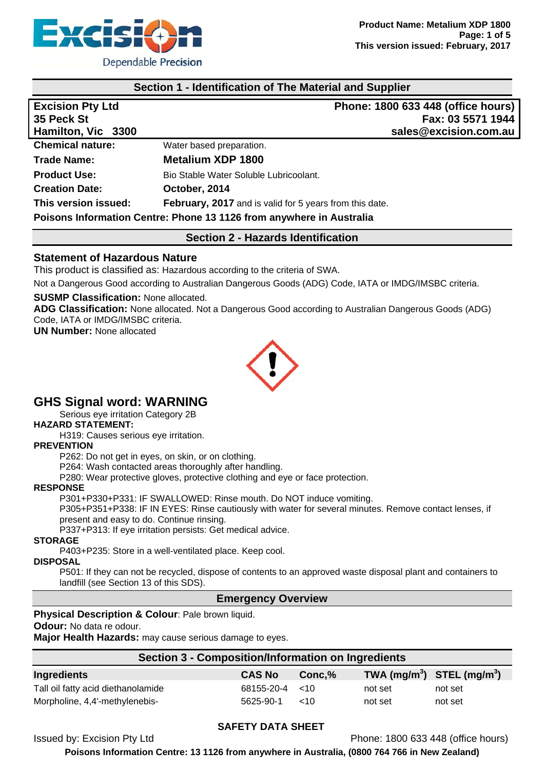

## **Section 1 - Identification of The Material and Supplier**

| <b>Excision Pty Ltd</b> |                                                                      | Phone: 1800 633 448 (office hours) |
|-------------------------|----------------------------------------------------------------------|------------------------------------|
| 35 Peck St              |                                                                      | Fax: 03 5571 1944                  |
| Hamilton, Vic 3300      |                                                                      | sales@excision.com.au              |
| <b>Chemical nature:</b> | Water based preparation.                                             |                                    |
| <b>Trade Name:</b>      | <b>Metalium XDP 1800</b>                                             |                                    |
| <b>Product Use:</b>     | Bio Stable Water Soluble Lubricoolant.                               |                                    |
| <b>Creation Date:</b>   | October, 2014                                                        |                                    |
| This version issued:    | February, 2017 and is valid for 5 years from this date.              |                                    |
|                         | Poisons Information Centre: Phone 13 1126 from anywhere in Australia |                                    |

## **Section 2 - Hazards Identification**

## **Statement of Hazardous Nature**

This product is classified as: Hazardous according to the criteria of SWA.

Not a Dangerous Good according to Australian Dangerous Goods (ADG) Code, IATA or IMDG/IMSBC criteria.

#### **SUSMP Classification:** None allocated.

**ADG Classification:** None allocated. Not a Dangerous Good according to Australian Dangerous Goods (ADG) Code, IATA or IMDG/IMSBC criteria.

**UN Number:** None allocated



## **GHS Signal word: WARNING**

Serious eye irritation Category 2B

## **HAZARD STATEMENT:**

H319: Causes serious eye irritation.

#### **PREVENTION**

P262: Do not get in eyes, on skin, or on clothing.

P264: Wash contacted areas thoroughly after handling.

P280: Wear protective gloves, protective clothing and eye or face protection.

### **RESPONSE**

P301+P330+P331: IF SWALLOWED: Rinse mouth. Do NOT induce vomiting.

P305+P351+P338: IF IN EYES: Rinse cautiously with water for several minutes. Remove contact lenses, if present and easy to do. Continue rinsing.

P337+P313: If eye irritation persists: Get medical advice.

#### **STORAGE**

P403+P235: Store in a well-ventilated place. Keep cool.

#### **DISPOSAL**

P501: If they can not be recycled, dispose of contents to an approved waste disposal plant and containers to landfill (see Section 13 of this SDS).

## **Emergency Overview**

**Physical Description & Colour: Pale brown liquid.** 

**Odour:** No data re odour.

**Major Health Hazards:** may cause serious damage to eyes.

|  |  |  |  | Section 3 - Composition/Information on Ingredients |  |
|--|--|--|--|----------------------------------------------------|--|
|  |  |  |  |                                                    |  |

| Ingredients                        | <b>CAS No</b>         | $Conc.\%$    | TWA (mg/m <sup>3</sup> ) STEL (mg/m <sup>3</sup> ) |         |
|------------------------------------|-----------------------|--------------|----------------------------------------------------|---------|
| Tall oil fatty acid diethanolamide | $68155 - 20 - 4 < 10$ |              | not set                                            | not set |
| Morpholine, 4,4'-methylenebis-     | 5625-90-1             | $~<$ 10 $~<$ | not set                                            | not set |

### **SAFETY DATA SHEET**

Issued by: Excision Pty Ltd Phone: 1800 633 448 (office hours)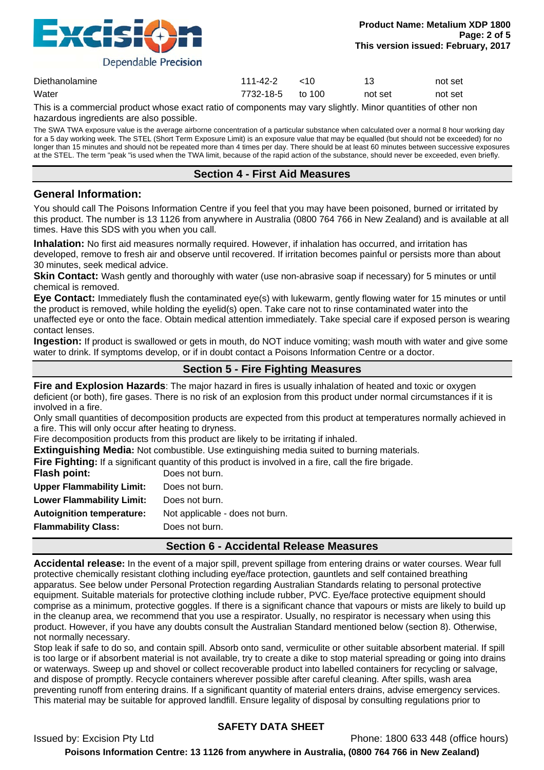

| Diethanolamine | 111-42-2         | $~<$ 10 |         | not set |
|----------------|------------------|---------|---------|---------|
| Water          | 7732-18-5 to 100 |         | not set | not set |

This is a commercial product whose exact ratio of components may vary slightly. Minor quantities of other non hazardous ingredients are also possible.

The SWA TWA exposure value is the average airborne concentration of a particular substance when calculated over a normal 8 hour working day for a 5 day working week. The STEL (Short Term Exposure Limit) is an exposure value that may be equalled (but should not be exceeded) for no longer than 15 minutes and should not be repeated more than 4 times per day. There should be at least 60 minutes between successive exposures at the STEL. The term "peak "is used when the TWA limit, because of the rapid action of the substance, should never be exceeded, even briefly.

## **Section 4 - First Aid Measures**

## **General Information:**

You should call The Poisons Information Centre if you feel that you may have been poisoned, burned or irritated by this product. The number is 13 1126 from anywhere in Australia (0800 764 766 in New Zealand) and is available at all times. Have this SDS with you when you call.

**Inhalation:** No first aid measures normally required. However, if inhalation has occurred, and irritation has developed, remove to fresh air and observe until recovered. If irritation becomes painful or persists more than about 30 minutes, seek medical advice.

**Skin Contact:** Wash gently and thoroughly with water (use non-abrasive soap if necessary) for 5 minutes or until chemical is removed.

**Eye Contact:** Immediately flush the contaminated eye(s) with lukewarm, gently flowing water for 15 minutes or until the product is removed, while holding the eyelid(s) open. Take care not to rinse contaminated water into the unaffected eye or onto the face. Obtain medical attention immediately. Take special care if exposed person is wearing contact lenses.

**Ingestion:** If product is swallowed or gets in mouth, do NOT induce vomiting; wash mouth with water and give some water to drink. If symptoms develop, or if in doubt contact a Poisons Information Centre or a doctor.

## **Section 5 - Fire Fighting Measures**

**Fire and Explosion Hazards**: The major hazard in fires is usually inhalation of heated and toxic or oxygen deficient (or both), fire gases. There is no risk of an explosion from this product under normal circumstances if it is involved in a fire.

Only small quantities of decomposition products are expected from this product at temperatures normally achieved in a fire. This will only occur after heating to dryness.

Fire decomposition products from this product are likely to be irritating if inhaled.

**Extinguishing Media:** Not combustible. Use extinguishing media suited to burning materials.

**Fire Fighting:** If a significant quantity of this product is involved in a fire, call the fire brigade.

| Flash point:                     | Does not burn.                  |
|----------------------------------|---------------------------------|
| <b>Upper Flammability Limit:</b> | Does not burn.                  |
| <b>Lower Flammability Limit:</b> | Does not burn.                  |
| <b>Autoignition temperature:</b> | Not applicable - does not burn. |
| <b>Flammability Class:</b>       | Does not burn.                  |
|                                  |                                 |

## **Section 6 - Accidental Release Measures**

**Accidental release:** In the event of a major spill, prevent spillage from entering drains or water courses. Wear full protective chemically resistant clothing including eye/face protection, gauntlets and self contained breathing apparatus. See below under Personal Protection regarding Australian Standards relating to personal protective equipment. Suitable materials for protective clothing include rubber, PVC. Eye/face protective equipment should comprise as a minimum, protective goggles. If there is a significant chance that vapours or mists are likely to build up in the cleanup area, we recommend that you use a respirator. Usually, no respirator is necessary when using this product. However, if you have any doubts consult the Australian Standard mentioned below (section 8). Otherwise, not normally necessary.

Stop leak if safe to do so, and contain spill. Absorb onto sand, vermiculite or other suitable absorbent material. If spill is too large or if absorbent material is not available, try to create a dike to stop material spreading or going into drains or waterways. Sweep up and shovel or collect recoverable product into labelled containers for recycling or salvage, and dispose of promptly. Recycle containers wherever possible after careful cleaning. After spills, wash area preventing runoff from entering drains. If a significant quantity of material enters drains, advise emergency services. This material may be suitable for approved landfill. Ensure legality of disposal by consulting regulations prior to

## **SAFETY DATA SHEET**

Issued by: Excision Pty Ltd Phone: 1800 633 448 (office hours)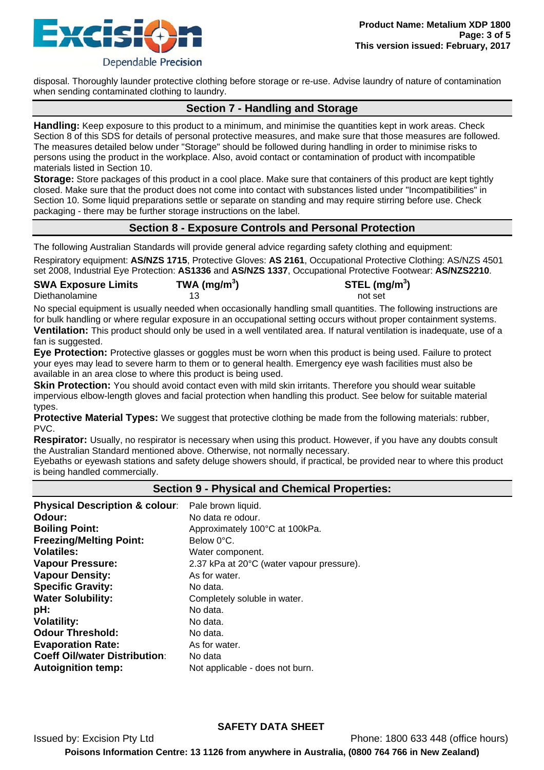

disposal. Thoroughly launder protective clothing before storage or re-use. Advise laundry of nature of contamination when sending contaminated clothing to laundry.

## **Section 7 - Handling and Storage**

**Handling:** Keep exposure to this product to a minimum, and minimise the quantities kept in work areas. Check Section 8 of this SDS for details of personal protective measures, and make sure that those measures are followed. The measures detailed below under "Storage" should be followed during handling in order to minimise risks to persons using the product in the workplace. Also, avoid contact or contamination of product with incompatible materials listed in Section 10.

**Storage:** Store packages of this product in a cool place. Make sure that containers of this product are kept tightly closed. Make sure that the product does not come into contact with substances listed under "Incompatibilities" in Section 10. Some liquid preparations settle or separate on standing and may require stirring before use. Check packaging - there may be further storage instructions on the label.

## **Section 8 - Exposure Controls and Personal Protection**

The following Australian Standards will provide general advice regarding safety clothing and equipment:

Respiratory equipment: **AS/NZS 1715**, Protective Gloves: **AS 2161**, Occupational Protective Clothing: AS/NZS 4501 set 2008, Industrial Eye Protection: **AS1336** and **AS/NZS 1337**, Occupational Protective Footwear: **AS/NZS2210**.

| <b>SWA Exposure Limits</b> | TWA (mg/m <sup>3</sup> ) | STEL (mg/m <sup>3</sup> ) |
|----------------------------|--------------------------|---------------------------|
| Diethanolamine             |                          | not set                   |

No special equipment is usually needed when occasionally handling small quantities. The following instructions are for bulk handling or where regular exposure in an occupational setting occurs without proper containment systems. **Ventilation:** This product should only be used in a well ventilated area. If natural ventilation is inadequate, use of a fan is suggested.

**Eye Protection:** Protective glasses or goggles must be worn when this product is being used. Failure to protect your eyes may lead to severe harm to them or to general health. Emergency eye wash facilities must also be available in an area close to where this product is being used.

**Skin Protection:** You should avoid contact even with mild skin irritants. Therefore you should wear suitable impervious elbow-length gloves and facial protection when handling this product. See below for suitable material types.

**Protective Material Types:** We suggest that protective clothing be made from the following materials: rubber, PVC.

**Respirator:** Usually, no respirator is necessary when using this product. However, if you have any doubts consult the Australian Standard mentioned above. Otherwise, not normally necessary.

Eyebaths or eyewash stations and safety deluge showers should, if practical, be provided near to where this product is being handled commercially.

### **Section 9 - Physical and Chemical Properties:**

| Odour:<br>No data re odour.                                          |
|----------------------------------------------------------------------|
|                                                                      |
| <b>Boiling Point:</b><br>Approximately 100°C at 100kPa.              |
| <b>Freezing/Melting Point:</b><br>Below 0°C.                         |
| <b>Volatiles:</b><br>Water component.                                |
| <b>Vapour Pressure:</b><br>2.37 kPa at 20°C (water vapour pressure). |
| <b>Vapour Density:</b><br>As for water.                              |
| <b>Specific Gravity:</b><br>No data.                                 |
| <b>Water Solubility:</b><br>Completely soluble in water.             |
| No data.<br>pH:                                                      |
| <b>Volatility:</b><br>No data.                                       |
| <b>Odour Threshold:</b><br>No data.                                  |
| <b>Evaporation Rate:</b><br>As for water.                            |
| <b>Coeff Oil/water Distribution:</b><br>No data                      |
| <b>Autoignition temp:</b><br>Not applicable - does not burn.         |

Issued by: Excision Pty Ltd Phone: 1800 633 448 (office hours)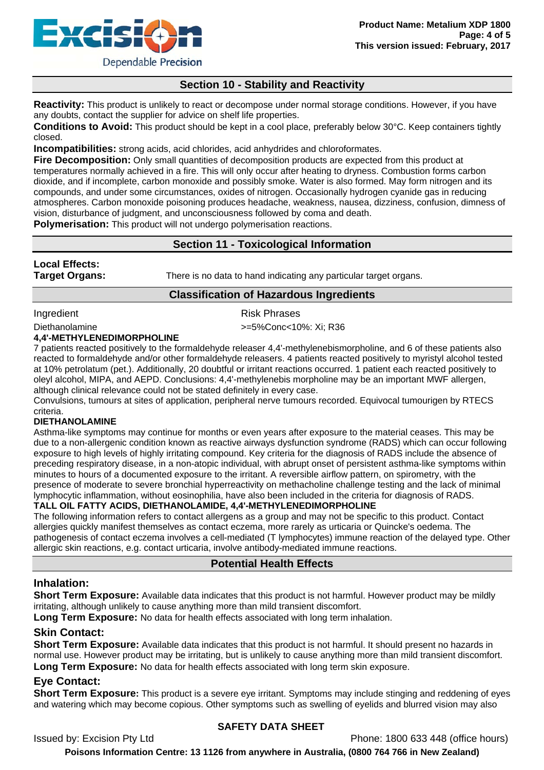

# **Section 10 - Stability and Reactivity**

**Reactivity:** This product is unlikely to react or decompose under normal storage conditions. However, if you have any doubts, contact the supplier for advice on shelf life properties.

**Conditions to Avoid:** This product should be kept in a cool place, preferably below 30°C. Keep containers tightly closed.

**Incompatibilities:** strong acids, acid chlorides, acid anhydrides and chloroformates.

**Fire Decomposition:** Only small quantities of decomposition products are expected from this product at temperatures normally achieved in a fire. This will only occur after heating to dryness. Combustion forms carbon dioxide, and if incomplete, carbon monoxide and possibly smoke. Water is also formed. May form nitrogen and its compounds, and under some circumstances, oxides of nitrogen. Occasionally hydrogen cyanide gas in reducing atmospheres. Carbon monoxide poisoning produces headache, weakness, nausea, dizziness, confusion, dimness of vision, disturbance of judgment, and unconsciousness followed by coma and death.

**Polymerisation:** This product will not undergo polymerisation reactions.

## **Section 11 - Toxicological Information**

## **Local Effects:**

**Target Organs:** There is no data to hand indicating any particular target organs.

## **Classification of Hazardous Ingredients**

Ingredient **Risk Phrases** 

Diethanolamine  $\rightarrow$  5%Conc<10%: Xi; R36

### **4,4'-METHYLENEDIMORPHOLINE**

7 patients reacted positively to the formaldehyde releaser 4,4'-methylenebismorpholine, and 6 of these patients also reacted to formaldehyde and/or other formaldehyde releasers. 4 patients reacted positively to myristyl alcohol tested at 10% petrolatum (pet.). Additionally, 20 doubtful or irritant reactions occurred. 1 patient each reacted positively to oleyl alcohol, MIPA, and AEPD. Conclusions: 4,4'-methylenebis morpholine may be an important MWF allergen, although clinical relevance could not be stated definitely in every case.

Convulsions, tumours at sites of application, peripheral nerve tumours recorded. Equivocal tumourigen by RTECS criteria.

#### **DIETHANOLAMINE**

Asthma-like symptoms may continue for months or even years after exposure to the material ceases. This may be due to a non-allergenic condition known as reactive airways dysfunction syndrome (RADS) which can occur following exposure to high levels of highly irritating compound. Key criteria for the diagnosis of RADS include the absence of preceding respiratory disease, in a non-atopic individual, with abrupt onset of persistent asthma-like symptoms within minutes to hours of a documented exposure to the irritant. A reversible airflow pattern, on spirometry, with the presence of moderate to severe bronchial hyperreactivity on methacholine challenge testing and the lack of minimal lymphocytic inflammation, without eosinophilia, have also been included in the criteria for diagnosis of RADS.

### **TALL OIL FATTY ACIDS, DIETHANOLAMIDE, 4,4'-METHYLENEDIMORPHOLINE**

The following information refers to contact allergens as a group and may not be specific to this product. Contact allergies quickly manifest themselves as contact eczema, more rarely as urticaria or Quincke's oedema. The pathogenesis of contact eczema involves a cell-mediated (T lymphocytes) immune reaction of the delayed type. Other allergic skin reactions, e.g. contact urticaria, involve antibody-mediated immune reactions.

## **Potential Health Effects**

## **Inhalation:**

**Short Term Exposure:** Available data indicates that this product is not harmful. However product may be mildly irritating, although unlikely to cause anything more than mild transient discomfort.

**Long Term Exposure:** No data for health effects associated with long term inhalation.

## **Skin Contact:**

**Short Term Exposure:** Available data indicates that this product is not harmful. It should present no hazards in normal use. However product may be irritating, but is unlikely to cause anything more than mild transient discomfort. **Long Term Exposure:** No data for health effects associated with long term skin exposure.

## **Eye Contact:**

**Short Term Exposure:** This product is a severe eye irritant. Symptoms may include stinging and reddening of eyes and watering which may become copious. Other symptoms such as swelling of eyelids and blurred vision may also

## **SAFETY DATA SHEET**

Issued by: Excision Pty Ltd Phone: 1800 633 448 (office hours)